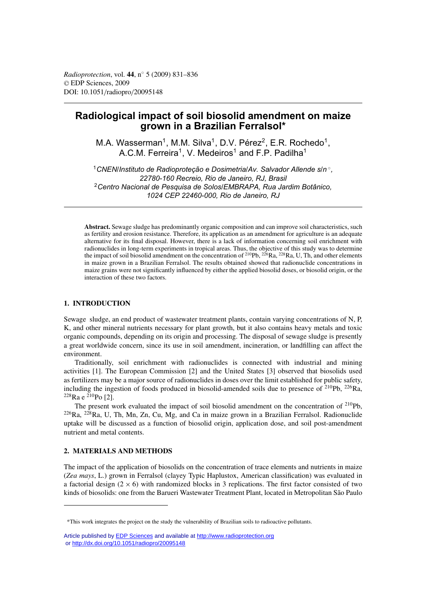# **Radiological impact of soil biosolid amendment on maize grown in a Brazilian Ferralsol\***

M.A. Wasserman<sup>1</sup>, M.M. Silva<sup>1</sup>, D.V. Pérez<sup>2</sup>, E.R. Rochedo<sup>1</sup>, A.C.M. Ferreira<sup>1</sup>, V. Medeiros<sup>1</sup> and F.P. Padilha<sup>1</sup>

<sup>1</sup>*CNEN/Instituto de Radioproteção e Dosimetria/Av. Salvador Allende s/n* ◦*, 22780-160 Recreio, Rio de Janeiro, RJ, Brasil* <sup>2</sup>*Centro Nacional de Pesquisa de Solos/EMBRAPA, Rua Jardim Botânico, 1024 CEP 22460-000, Rio de Janeiro, RJ*

**Abstract.** Sewage sludge has predominantly organic composition and can improve soil characteristics, such as fertility and erosion resistance. Therefore, its application as an amendment for agriculture is an adequate alternative for its final disposal. However, there is a lack of information concerning soil enrichment with radionuclides in long-term experiments in tropical areas. Thus, the objective of this study was to determine the impact of soil biosolid amendment on the concentration of  $^{210}Pb$ ,  $^{226}Ra$ ,  $^{228}Ra$ , U, Th, and other elements in maize grown in a Brazilian Ferralsol. The results obtained showed that radionuclide concentrations in maize grains were not significantly influenced by either the applied biosolid doses, or biosolid origin, or the interaction of these two factors.

# **1. INTRODUCTION**

Sewage sludge, an end product of wastewater treatment plants, contain varying concentrations of N, P, K, and other mineral nutrients necessary for plant growth, but it also contains heavy metals and toxic organic compounds, depending on its origin and processing. The disposal of sewage sludge is presently a great worldwide concern, since its use in soil amendment, incineration, or landfilling can affect the environment.

Traditionally, soil enrichment with radionuclides is connected with industrial and mining activities [1]. The European Commission [2] and the United States [3] observed that biosolids used as fertilizers may be a major source of radionuclides in doses over the limit established for public safety, including the ingestion of foods produced in biosolid-amended soils due to presence of 210Pb, 226Ra,  $^{228}$ Ra e  $^{210}$ Po [2].

The present work evaluated the impact of soil biosolid amendment on the concentration of <sup>210</sup>Pb, 226Ra, 228Ra, U, Th, Mn, Zn, Cu, Mg, and Ca in maize grown in a Brazilian Ferralsol. Radionuclide uptake will be discussed as a function of biosolid origin, application dose, and soil post-amendment nutrient and metal contents.

# **2. MATERIALS AND METHODS**

The impact of the application of biosolids on the concentration of trace elements and nutrients in maize (*Zea mays*, L.) grown in Ferralsol (clayey Typic Haplustox, American classification) was evaluated in a factorial design  $(2 \times 6)$  with randomized blocks in 3 replications. The first factor consisted of two kinds of biosolids: one from the Barueri Wastewater Treatment Plant, located in Metropolitan São Paulo

<sup>\*</sup>This work integrates the project on the study the vulnerability of Brazilian soils to radioactive pollutants.

Article published by [EDP Sciences](http://www.edpsciences.org) and available at<http://www.radioprotection.org> or <http://dx.doi.org/10.1051/radiopro/20095148>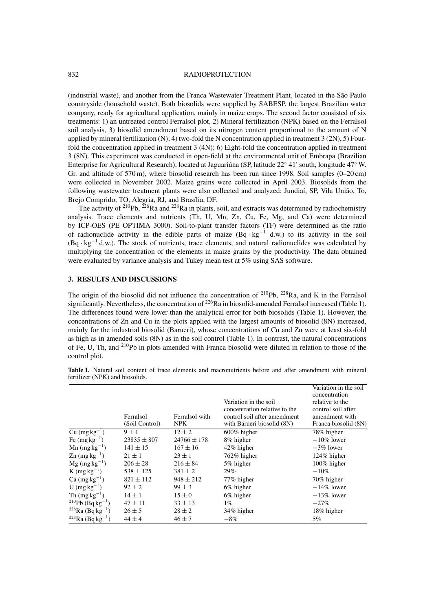#### 832 RADIOPROTECTION

(industrial waste), and another from the Franca Wastewater Treatment Plant, located in the São Paulo countryside (household waste). Both biosolids were supplied by SABESP, the largest Brazilian water company, ready for agricultural application, mainly in maize crops. The second factor consisted of six treatments: 1) an untreated control Ferralsol plot, 2) Mineral fertilization (NPK) based on the Ferralsol soil analysis, 3) biosolid amendment based on its nitrogen content proportional to the amount of N applied by mineral fertilization (N); 4) two-fold the N concentration applied in treatment 3 (2N), 5) Fourfold the concentration applied in treatment 3 (4N); 6) Eight-fold the concentration applied in treatment 3 (8N). This experiment was conducted in open-field at the environmental unit of Embrapa (Brazilian Enterprise for Agricultural Research), located at Jaguariúna (SP, latitude 22◦ 41 south, longitude 47◦ W. Gr. and altitude of 570 m), where biosolid research has been run since 1998. Soil samples (0–20 cm) were collected in November 2002. Maize grains were collected in April 2003. Biosolids from the following wastewater treatment plants were also collected and analyzed: Jundiaí, SP, Vila União, To, Brejo Comprido, TO, Alegria, RJ, and Brasília, DF.

The activity of <sup>210</sup>Pb, <sup>226</sup>Ra and <sup>228</sup>Ra in plants, soil, and extracts was determined by radiochemistry analysis. Trace elements and nutrients (Th, U, Mn, Zn, Cu, Fe, Mg, and Ca) were determined by ICP-OES (PE OPTIMA 3000). Soil-to-plant transfer factors (TF) were determined as the ratio of radionuclide activity in the edible parts of maize  $(Bq \cdot kg^{-1} d.w.)$  to its activity in the soil  $(Bq \cdot kg^{-1} d.w.)$ . The stock of nutrients, trace elements, and natural radionuclides was calculated by multiplying the concentration of the elements in maize grains by the productivity. The data obtained were evaluated by variance analysis and Tukey mean test at 5% using SAS software.

### **3. RESULTS AND DISCUSSIONS**

The origin of the biosolid did not influence the concentration of  $^{210}Pb$ ,  $^{228}Ra$ , and K in the Ferralsol significantly. Nevertheless, the concentration of  $^{226}Ra$  in biosolid-amended Ferralsol increased (Table 1). The differences found were lower than the analytical error for both biosolids (Table 1). However, the concentrations of Zn and Cu in the plots applied with the largest amounts of biosolid (8N) increased, mainly for the industrial biosolid (Barueri), whose concentrations of Cu and Zn were at least six-fold as high as in amended soils (8N) as in the soil control (Table 1). In contrast, the natural concentrations of Fe, U, Th, and 210Pb in plots amended with Franca biosolid were diluted in relation to those of the control plot.

|                                          |                 |                 |                               | Variation in the soil |
|------------------------------------------|-----------------|-----------------|-------------------------------|-----------------------|
|                                          |                 |                 |                               | concentration         |
|                                          |                 |                 | Variation in the soil         | relative to the       |
|                                          |                 |                 | concentration relative to the | control soil after    |
|                                          | Ferralsol       | Ferralsol with  | control soil after amendment  | amendment with        |
|                                          | (Soil Control)  | NPK.            | with Barueri biosolid (8N)    | Franca biosolid (8N)  |
| $Cu$ (mg kg <sup>-1</sup> )              | $9 \pm 1$       | $12 \pm 2$      | $600\%$ higher                | 78% higher            |
| Fe $(mg kg^{-1})$                        | $23835 \pm 807$ | $24766 \pm 178$ | 8% higher                     | $-10\%$ lower         |
| Mn $(mg kg^{-1})$                        | $141 \pm 15$    | $167 \pm 16$    | $42\%$ higher                 | $-3\%$ lower          |
| $\text{Zn}$ (mg kg <sup>-1</sup> )       | $21 \pm 1$      | $23 \pm 1$      | 762% higher                   | $124\%$ higher        |
| $Mg$ (mg kg <sup>-1</sup> )              | $206 \pm 28$    | $216 \pm 84$    | 5% higher                     | $100\%$ higher        |
| $K$ (mg kg <sup>-1</sup> )               | $538 \pm 125$   | $381 \pm 2$     | 29%                           | $-10\%$               |
| $Ca$ (mg kg <sup>-1</sup> )              | $821 \pm 112$   | $948 \pm 212$   | 77% higher                    | 70% higher            |
| U $(mg kg^{-1})$                         | $92 \pm 2$      | $99 \pm 3$      | $6\%$ higher                  | $-14\%$ lower         |
| Th $(mg kg^{-1})$                        | $14 \pm 1$      | $15 \pm 0$      | $6\%$ higher                  | $-13\%$ lower         |
| <sup>210</sup> Pb (Bq kg <sup>-1</sup> ) | $47 \pm 11$     | $33 \pm 13$     | $1\%$                         | $-27\%$               |
| <sup>226</sup> Ra (Bq kg <sup>-1</sup> ) | $26 \pm 5$      | $28 \pm 2$      | 34% higher                    | 18% higher            |
| $228$ Ra (Bq kg <sup>-1</sup> )          | $44 \pm 4$      | $46 \pm 7$      | $-8\%$                        | 5%                    |

**Table 1.** Natural soil content of trace elements and macronutrients before and after amendment with mineral fertilizer (NPK) and biosolids.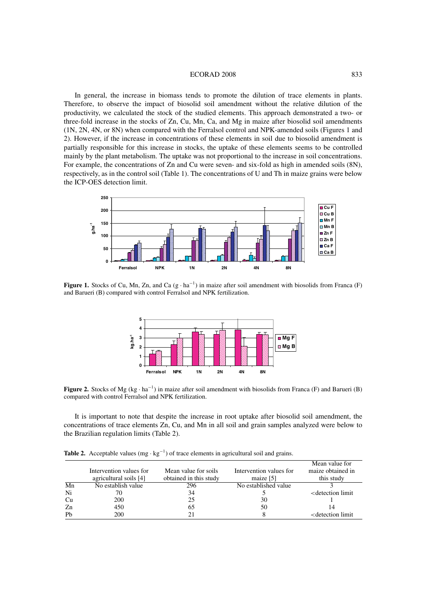#### ECORAD 2008 833

In general, the increase in biomass tends to promote the dilution of trace elements in plants. Therefore, to observe the impact of biosolid soil amendment without the relative dilution of the productivity, we calculated the stock of the studied elements. This approach demonstrated a two- or three-fold increase in the stocks of Zn, Cu, Mn, Ca, and Mg in maize after biosolid soil amendments (1N, 2N, 4N, or 8N) when compared with the Ferralsol control and NPK-amended soils (Figures 1 and 2). However, if the increase in concentrations of these elements in soil due to biosolid amendment is partially responsible for this increase in stocks, the uptake of these elements seems to be controlled mainly by the plant metabolism. The uptake was not proportional to the increase in soil concentrations. For example, the concentrations of Zn and Cu were seven- and six-fold as high in amended soils (8N), respectively, as in the control soil (Table 1). The concentrations of U and Th in maize grains were below the ICP-OES detection limit.



**Figure 1.** Stocks of Cu, Mn, Zn, and Ca  $(g \cdot ha^{-1})$  in maize after soil amendment with biosolids from Franca (F) and Barueri (B) compared with control Ferralsol and NPK fertilization.



**Figure 2.** Stocks of Mg (kg  $\cdot$  ha<sup>-1</sup>) in maize after soil amendment with biosolids from Franca (F) and Barueri (B) compared with control Ferralsol and NPK fertilization.

It is important to note that despite the increase in root uptake after biosolid soil amendment, the concentrations of trace elements Zn, Cu, and Mn in all soil and grain samples analyzed were below to the Brazilian regulation limits (Table 2).

**Table 2.** Acceptable values ( $mg \cdot kg^{-1}$ ) of trace elements in agricultural soil and grains.

|                          |                         |                        |                         | Mean value for                          |
|--------------------------|-------------------------|------------------------|-------------------------|-----------------------------------------|
|                          | Intervention values for | Mean value for soils   | Intervention values for | maize obtained in                       |
|                          | agricultural soils [4]  | obtained in this study | maize $[5]$             | this study                              |
| $\overline{\mathrm{Mn}}$ | No establish value      | 296                    | No established value    |                                         |
| Ni                       |                         | 34                     |                         | <detection limit<="" td=""></detection> |
| Cu                       | 200                     | 25                     | 30                      |                                         |
| Zn                       | 450                     | 65                     | 50                      | 14                                      |
| Pb                       | 200                     |                        |                         | <detection limit<="" td=""></detection> |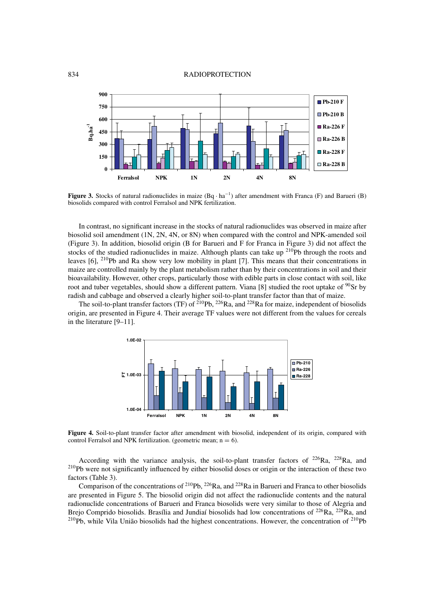#### 834 RADIOPROTECTION



**Figure 3.** Stocks of natural radionuclides in maize  $(Bq \cdot ha^{-1})$  after amendment with Franca (F) and Barueri (B) biosolids compared with control Ferralsol and NPK fertilization.

In contrast, no significant increase in the stocks of natural radionuclides was observed in maize after biosolid soil amendment (1N, 2N, 4N, or 8N) when compared with the control and NPK-amended soil (Figure 3). In addition, biosolid origin (B for Barueri and F for Franca in Figure 3) did not affect the stocks of the studied radionuclides in maize. Although plants can take up  $^{210}Pb$  through the roots and leaves [6], 210Pb and Ra show very low mobility in plant [7]. This means that their concentrations in maize are controlled mainly by the plant metabolism rather than by their concentrations in soil and their bioavailability. However, other crops, particularly those with edible parts in close contact with soil, like root and tuber vegetables, should show a different pattern. Viana [8] studied the root uptake of <sup>90</sup>Sr by radish and cabbage and observed a clearly higher soil-to-plant transfer factor than that of maize.

The soil-to-plant transfer factors (TF) of  $^{210}Pb$ ,  $^{226}Ra$ , and  $^{228}Ra$  for maize, independent of biosolids origin, are presented in Figure 4. Their average TF values were not different from the values for cereals in the literature [9–11].



**Figure 4.** Soil-to-plant transfer factor after amendment with biosolid, independent of its origin, compared with control Ferralsol and NPK fertilization. (geometric mean;  $n = 6$ ).

According with the variance analysis, the soil-to-plant transfer factors of  $^{226}Ra$ ,  $^{228}Ra$ , and <sup>210</sup>Pb were not significantly influenced by either biosolid doses or origin or the interaction of these two factors (Table 3).

Comparison of the concentrations of <sup>210</sup>Pb, <sup>226</sup>Ra, and <sup>228</sup>Ra in Barueri and Franca to other biosolids are presented in Figure 5. The biosolid origin did not affect the radionuclide contents and the natural radionuclide concentrations of Barueri and Franca biosolids were very similar to those of Alegria and Brejo Comprido biosolids. Brasília and Jundiaí biosolids had low concentrations of <sup>226</sup>Ra, <sup>228</sup>Ra, and  $^{210}Pb$ , while Vila União biosolids had the highest concentrations. However, the concentration of  $^{210}Pb$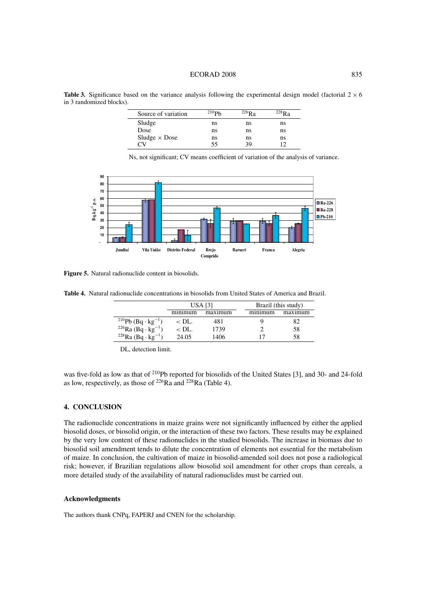#### ECORAD 2008 835

**Table 3.** Significance based on the variance analysis following the experimental design model (factorial  $2 \times 6$ ) in 3 randomized blocks).

| Source of variation  | 210P <sub>b</sub> | $^{226}$ R <sub>a</sub> | $^{228}$ Ra |
|----------------------|-------------------|-------------------------|-------------|
| Sludge               | ns                | ns                      | ns          |
| Dose                 | ns                | ns                      | ns          |
| Sludge $\times$ Dose | ns                | ns                      | ns          |
|                      | 55                | 39                      |             |

Ns, not significant; CV means coefficient of variation of the analysis of variance.



**Figure 5.** Natural radionuclide content in biosolids.

**Table 4.** Natural radionuclide concentrations in biosolids from United States of America and Brazil.

|                                            | USA [3]       |         | Brazil (this study)                    |         |  |
|--------------------------------------------|---------------|---------|----------------------------------------|---------|--|
|                                            | $m$ $nm$ $nm$ | maximum | $m$ <sub>1</sub> $m$ <sub>11</sub> $m$ | maximum |  |
| <sup>210</sup> Pb (Bq · kg <sup>-1</sup> ) | $<$ DL.       | 481     |                                        | 82      |  |
| $^{226}$ Ra (Bq · kg <sup>-1</sup> )       | $\rm $        | 1739    |                                        | 58      |  |
| $228$ Ra (Bq · kg <sup>-1</sup> )          | 24.05         | 1406    |                                        | 58      |  |

DL, detection limit.

was five-fold as low as that of <sup>210</sup>Pb reported for biosolids of the United States [3], and 30- and 24-fold as low, respectively, as those of  $^{226}Ra$  and  $^{228}Ra$  (Table 4).

# **4. CONCLUSION**

The radionuclide concentrations in maize grains were not significantly influenced by either the applied biosolid doses, or biosolid origin, or the interaction of these two factors. These results may be explained by the very low content of these radionuclides in the studied biosolids. The increase in biomass due to biosolid soil amendment tends to dilute the concentration of elements not essential for the metabolism of maize. In conclusion, the cultivation of maize in biosolid-amended soil does not pose a radiological risk; however, if Brazilian regulations allow biosolid soil amendment for other crops than cereals, a more detailed study of the availability of natural radionuclides must be carried out.

#### **Acknowledgments**

The authors thank CNPq, FAPERJ and CNEN for the scholarship.